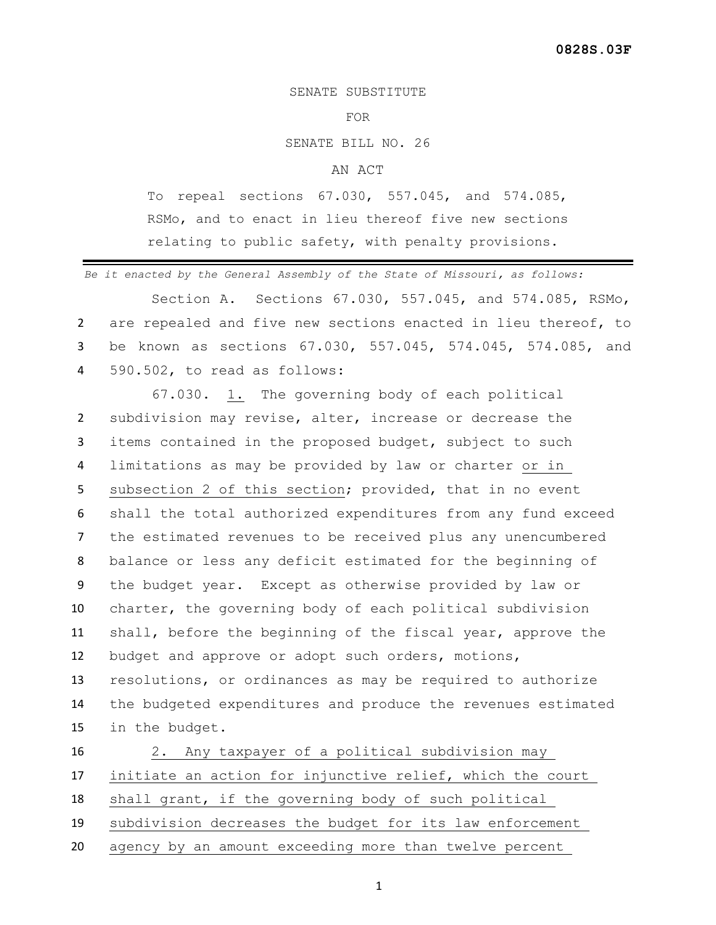SENATE SUBSTITUTE

## FOR

SENATE BILL NO. 26

## AN ACT

To repeal sections 67.030, 557.045, and 574.085, RSMo, and to enact in lieu thereof five new sections relating to public safety, with penalty provisions.

*Be it enacted by the General Assembly of the State of Missouri, as follows:*

Section A. Sections 67.030, 557.045, and 574.085, RSMo, are repealed and five new sections enacted in lieu thereof, to be known as sections 67.030, 557.045, 574.045, 574.085, and 590.502, to read as follows:

 67.030. 1. The governing body of each political subdivision may revise, alter, increase or decrease the items contained in the proposed budget, subject to such limitations as may be provided by law or charter or in subsection 2 of this section; provided, that in no event shall the total authorized expenditures from any fund exceed the estimated revenues to be received plus any unencumbered balance or less any deficit estimated for the beginning of the budget year. Except as otherwise provided by law or charter, the governing body of each political subdivision shall, before the beginning of the fiscal year, approve the budget and approve or adopt such orders, motions, resolutions, or ordinances as may be required to authorize the budgeted expenditures and produce the revenues estimated in the budget.

 2. Any taxpayer of a political subdivision may initiate an action for injunctive relief, which the court shall grant, if the governing body of such political subdivision decreases the budget for its law enforcement agency by an amount exceeding more than twelve percent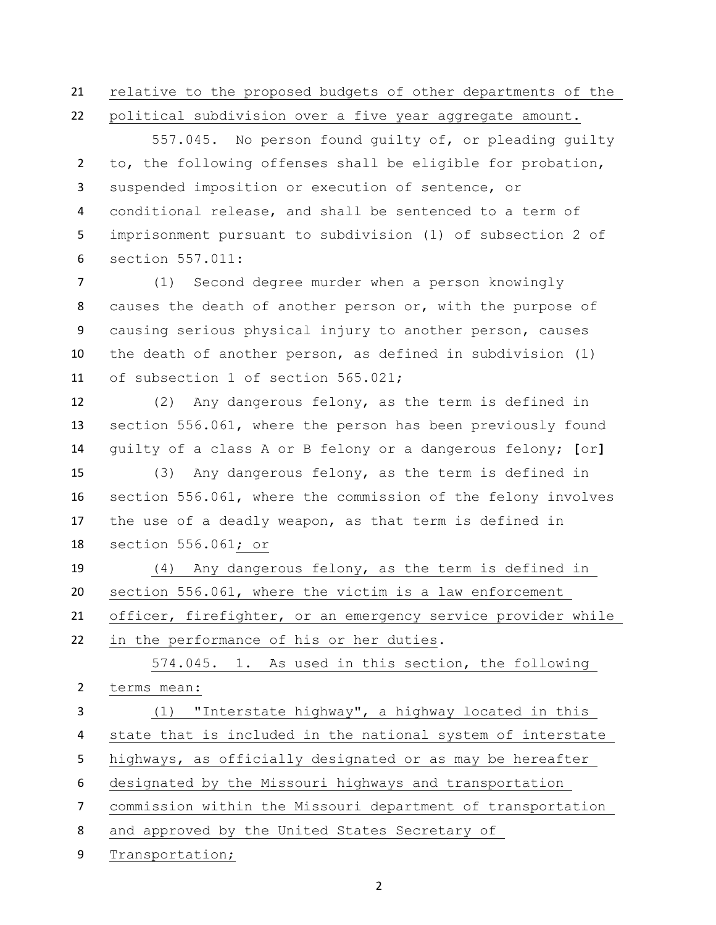relative to the proposed budgets of other departments of the

political subdivision over a five year aggregate amount.

557.045. No person found quilty of, or pleading quilty to, the following offenses shall be eligible for probation, suspended imposition or execution of sentence, or conditional release, and shall be sentenced to a term of imprisonment pursuant to subdivision (1) of subsection 2 of section 557.011:

 (1) Second degree murder when a person knowingly causes the death of another person or, with the purpose of causing serious physical injury to another person, causes the death of another person, as defined in subdivision (1) of subsection 1 of section 565.021;

 (2) Any dangerous felony, as the term is defined in section 556.061, where the person has been previously found guilty of a class A or B felony or a dangerous felony; **[**or**]**

 (3) Any dangerous felony, as the term is defined in section 556.061, where the commission of the felony involves the use of a deadly weapon, as that term is defined in section 556.061; or

 (4) Any dangerous felony, as the term is defined in section 556.061, where the victim is a law enforcement officer, firefighter, or an emergency service provider while in the performance of his or her duties.

574.045. 1. As used in this section, the following terms mean: (1) "Interstate highway", a highway located in this

state that is included in the national system of interstate

highways, as officially designated or as may be hereafter

designated by the Missouri highways and transportation

commission within the Missouri department of transportation

and approved by the United States Secretary of

Transportation;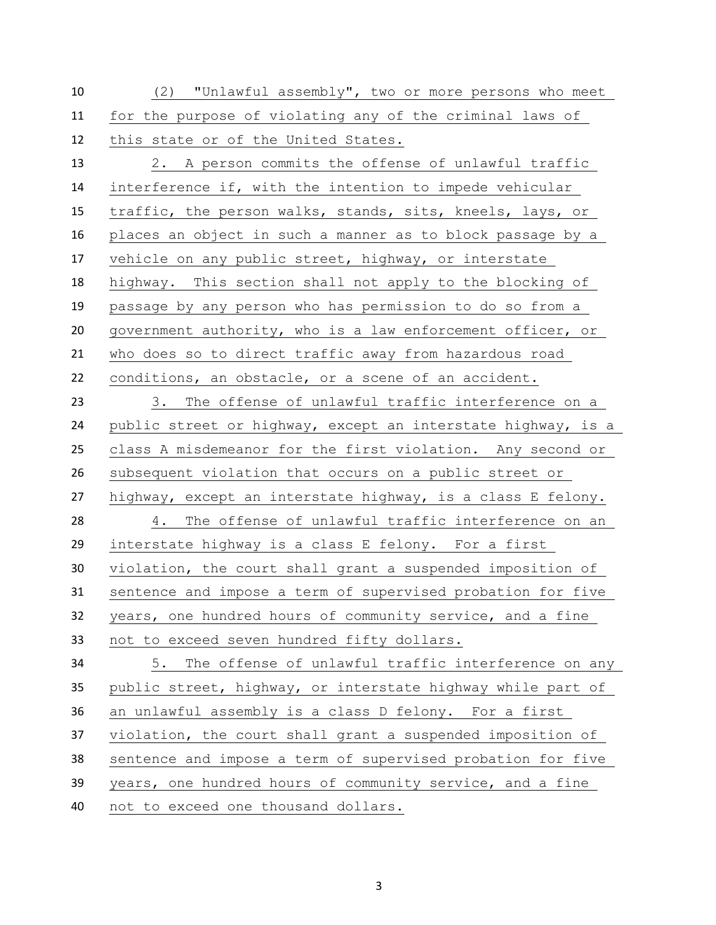(2) "Unlawful assembly", two or more persons who meet for the purpose of violating any of the criminal laws of this state or of the United States. 2. A person commits the offense of unlawful traffic interference if, with the intention to impede vehicular traffic, the person walks, stands, sits, kneels, lays, or places an object in such a manner as to block passage by a vehicle on any public street, highway, or interstate highway. This section shall not apply to the blocking of passage by any person who has permission to do so from a government authority, who is a law enforcement officer, or who does so to direct traffic away from hazardous road conditions, an obstacle, or a scene of an accident. 3. The offense of unlawful traffic interference on a 24 public street or highway, except an interstate highway, is a class A misdemeanor for the first violation. Any second or subsequent violation that occurs on a public street or highway, except an interstate highway, is a class E felony. 4. The offense of unlawful traffic interference on an interstate highway is a class E felony. For a first violation, the court shall grant a suspended imposition of sentence and impose a term of supervised probation for five years, one hundred hours of community service, and a fine not to exceed seven hundred fifty dollars. 5. The offense of unlawful traffic interference on any public street, highway, or interstate highway while part of an unlawful assembly is a class D felony. For a first violation, the court shall grant a suspended imposition of sentence and impose a term of supervised probation for five years, one hundred hours of community service, and a fine not to exceed one thousand dollars.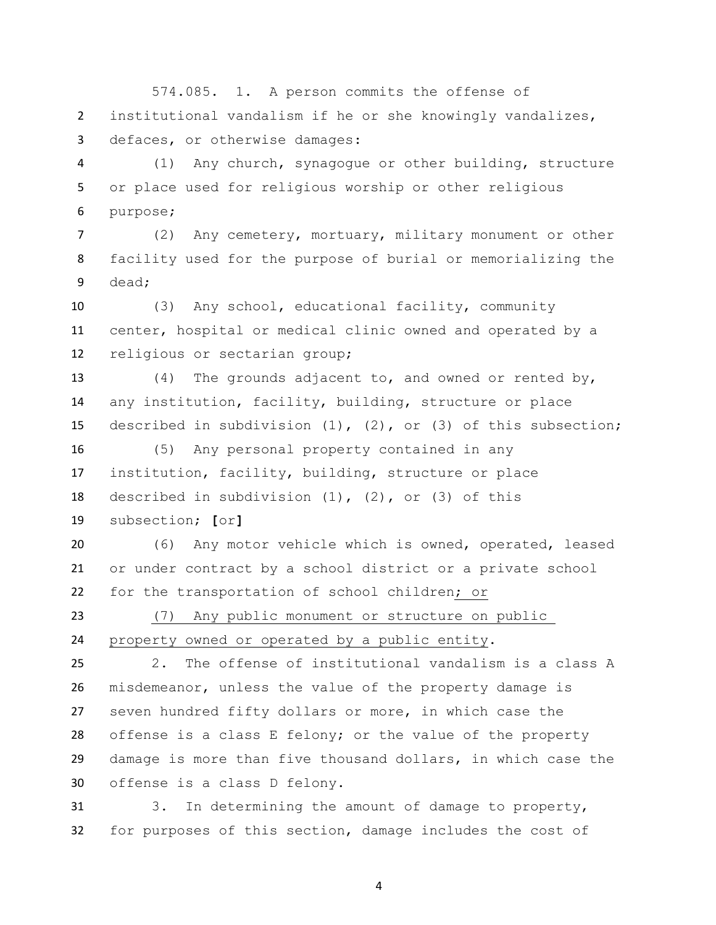574.085. 1. A person commits the offense of institutional vandalism if he or she knowingly vandalizes, defaces, or otherwise damages:

 (1) Any church, synagogue or other building, structure or place used for religious worship or other religious purpose;

 (2) Any cemetery, mortuary, military monument or other facility used for the purpose of burial or memorializing the dead;

 (3) Any school, educational facility, community center, hospital or medical clinic owned and operated by a religious or sectarian group;

 (4) The grounds adjacent to, and owned or rented by, any institution, facility, building, structure or place described in subdivision (1), (2), or (3) of this subsection;

 (5) Any personal property contained in any institution, facility, building, structure or place described in subdivision (1), (2), or (3) of this subsection; **[**or**]**

 (6) Any motor vehicle which is owned, operated, leased or under contract by a school district or a private school for the transportation of school children; or

 (7) Any public monument or structure on public property owned or operated by a public entity.

 2. The offense of institutional vandalism is a class A misdemeanor, unless the value of the property damage is seven hundred fifty dollars or more, in which case the offense is a class E felony; or the value of the property damage is more than five thousand dollars, in which case the offense is a class D felony.

 3. In determining the amount of damage to property, for purposes of this section, damage includes the cost of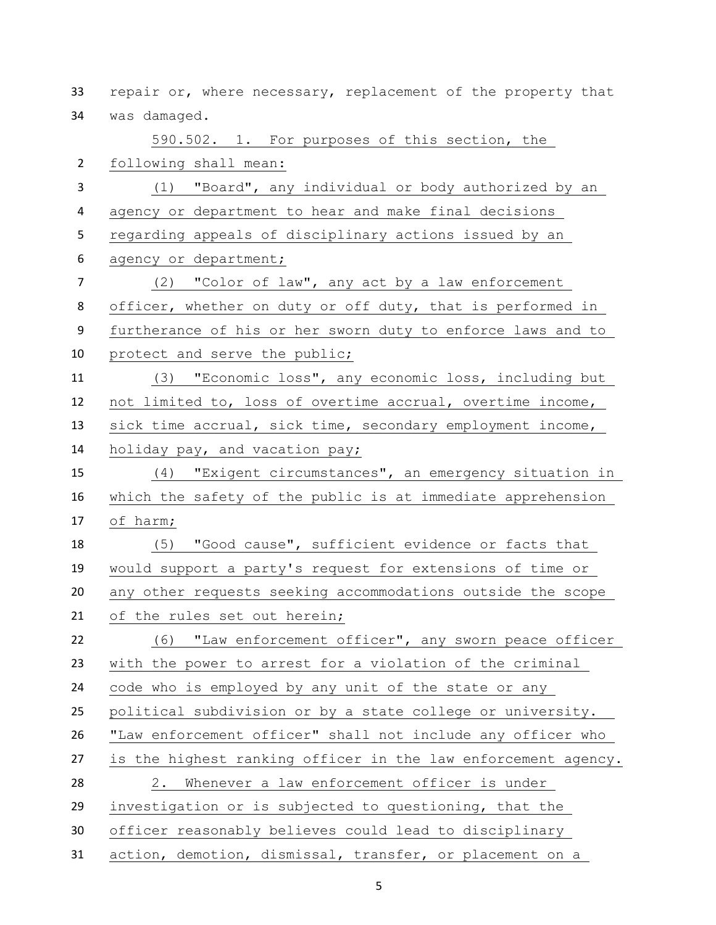repair or, where necessary, replacement of the property that was damaged. 590.502. 1. For purposes of this section, the following shall mean: (1) "Board", any individual or body authorized by an agency or department to hear and make final decisions regarding appeals of disciplinary actions issued by an agency or department; (2) "Color of law", any act by a law enforcement 8 officer, whether on duty or off duty, that is performed in furtherance of his or her sworn duty to enforce laws and to protect and serve the public; (3) "Economic loss", any economic loss, including but not limited to, loss of overtime accrual, overtime income, sick time accrual, sick time, secondary employment income, holiday pay, and vacation pay; (4) "Exigent circumstances", an emergency situation in which the safety of the public is at immediate apprehension of harm; (5) "Good cause", sufficient evidence or facts that would support a party's request for extensions of time or any other requests seeking accommodations outside the scope of the rules set out herein; (6) "Law enforcement officer", any sworn peace officer with the power to arrest for a violation of the criminal code who is employed by any unit of the state or any political subdivision or by a state college or university. "Law enforcement officer" shall not include any officer who is the highest ranking officer in the law enforcement agency. 2. Whenever a law enforcement officer is under investigation or is subjected to questioning, that the officer reasonably believes could lead to disciplinary action, demotion, dismissal, transfer, or placement on a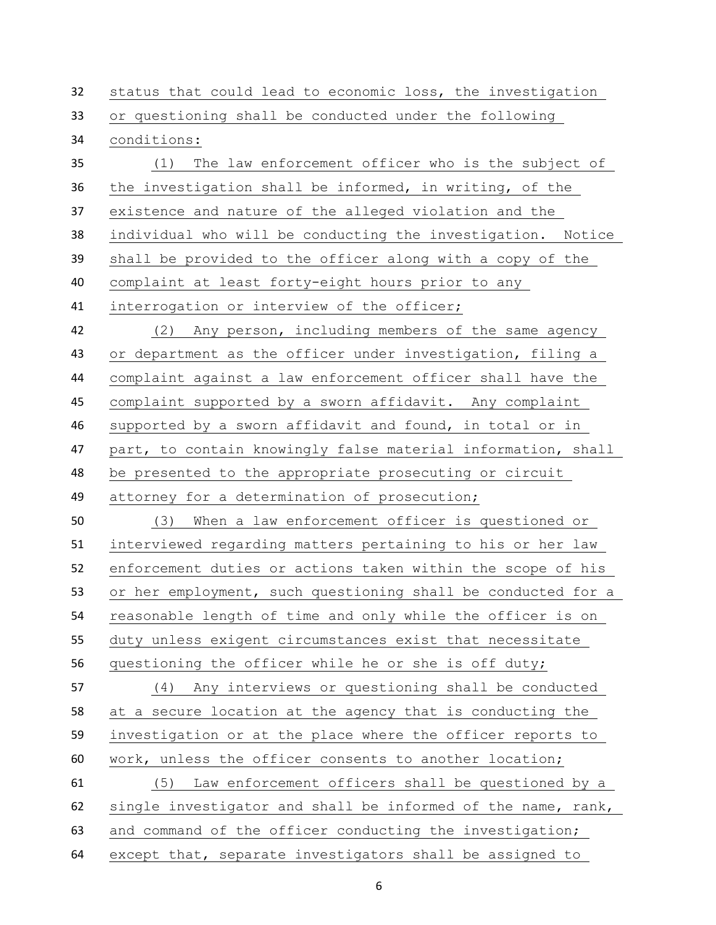status that could lead to economic loss, the investigation or questioning shall be conducted under the following conditions: (1) The law enforcement officer who is the subject of the investigation shall be informed, in writing, of the existence and nature of the alleged violation and the individual who will be conducting the investigation. Notice shall be provided to the officer along with a copy of the complaint at least forty-eight hours prior to any interrogation or interview of the officer; (2) Any person, including members of the same agency or department as the officer under investigation, filing a complaint against a law enforcement officer shall have the complaint supported by a sworn affidavit. Any complaint supported by a sworn affidavit and found, in total or in part, to contain knowingly false material information, shall be presented to the appropriate prosecuting or circuit attorney for a determination of prosecution; (3) When a law enforcement officer is questioned or interviewed regarding matters pertaining to his or her law enforcement duties or actions taken within the scope of his or her employment, such questioning shall be conducted for a reasonable length of time and only while the officer is on duty unless exigent circumstances exist that necessitate questioning the officer while he or she is off duty; (4) Any interviews or questioning shall be conducted at a secure location at the agency that is conducting the investigation or at the place where the officer reports to work, unless the officer consents to another location; (5) Law enforcement officers shall be questioned by a single investigator and shall be informed of the name, rank, and command of the officer conducting the investigation; except that, separate investigators shall be assigned to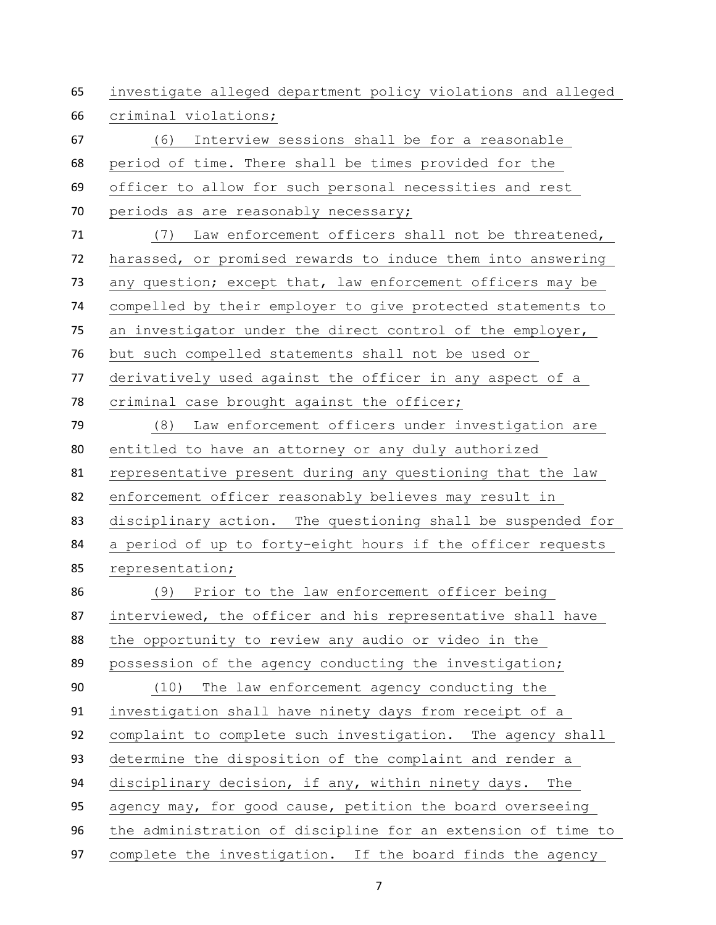investigate alleged department policy violations and alleged criminal violations; (6) Interview sessions shall be for a reasonable period of time. There shall be times provided for the officer to allow for such personal necessities and rest periods as are reasonably necessary; (7) Law enforcement officers shall not be threatened, harassed, or promised rewards to induce them into answering 73 any question; except that, law enforcement officers may be compelled by their employer to give protected statements to an investigator under the direct control of the employer, but such compelled statements shall not be used or derivatively used against the officer in any aspect of a criminal case brought against the officer; (8) Law enforcement officers under investigation are entitled to have an attorney or any duly authorized representative present during any questioning that the law enforcement officer reasonably believes may result in disciplinary action. The questioning shall be suspended for a period of up to forty-eight hours if the officer requests representation; (9) Prior to the law enforcement officer being interviewed, the officer and his representative shall have the opportunity to review any audio or video in the possession of the agency conducting the investigation; (10) The law enforcement agency conducting the investigation shall have ninety days from receipt of a complaint to complete such investigation. The agency shall determine the disposition of the complaint and render a disciplinary decision, if any, within ninety days. The agency may, for good cause, petition the board overseeing the administration of discipline for an extension of time to complete the investigation. If the board finds the agency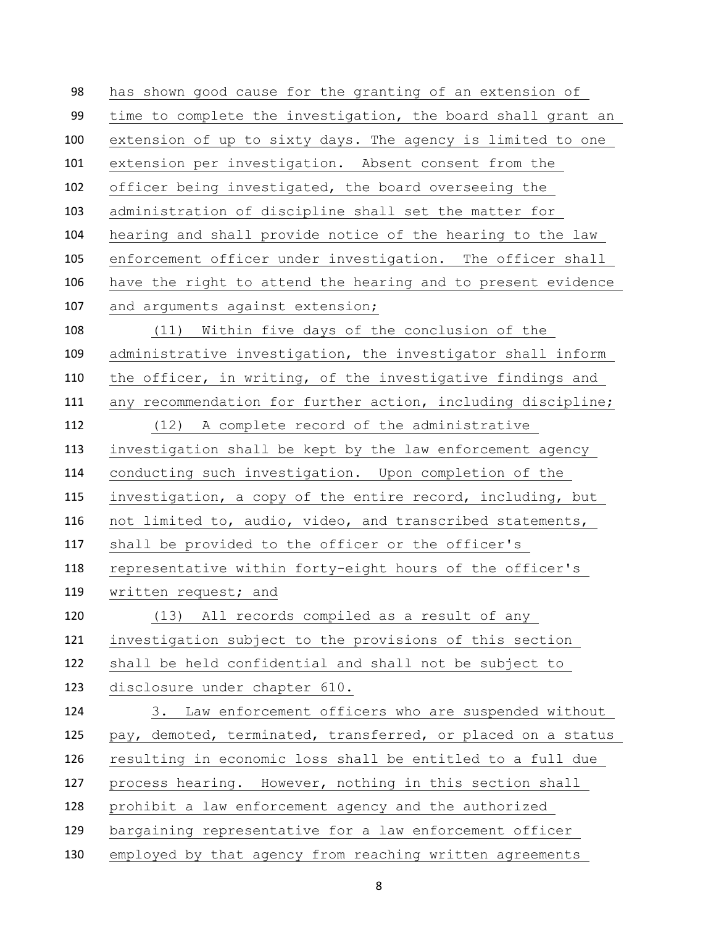has shown good cause for the granting of an extension of time to complete the investigation, the board shall grant an extension of up to sixty days. The agency is limited to one extension per investigation. Absent consent from the officer being investigated, the board overseeing the administration of discipline shall set the matter for hearing and shall provide notice of the hearing to the law enforcement officer under investigation. The officer shall have the right to attend the hearing and to present evidence 107 and arguments against extension; (11) Within five days of the conclusion of the administrative investigation, the investigator shall inform the officer, in writing, of the investigative findings and any recommendation for further action, including discipline; (12) A complete record of the administrative investigation shall be kept by the law enforcement agency conducting such investigation. Upon completion of the investigation, a copy of the entire record, including, but not limited to, audio, video, and transcribed statements, shall be provided to the officer or the officer's representative within forty-eight hours of the officer's 119 written request; and (13) All records compiled as a result of any investigation subject to the provisions of this section shall be held confidential and shall not be subject to disclosure under chapter 610. 3. Law enforcement officers who are suspended without pay, demoted, terminated, transferred, or placed on a status resulting in economic loss shall be entitled to a full due process hearing. However, nothing in this section shall prohibit a law enforcement agency and the authorized bargaining representative for a law enforcement officer employed by that agency from reaching written agreements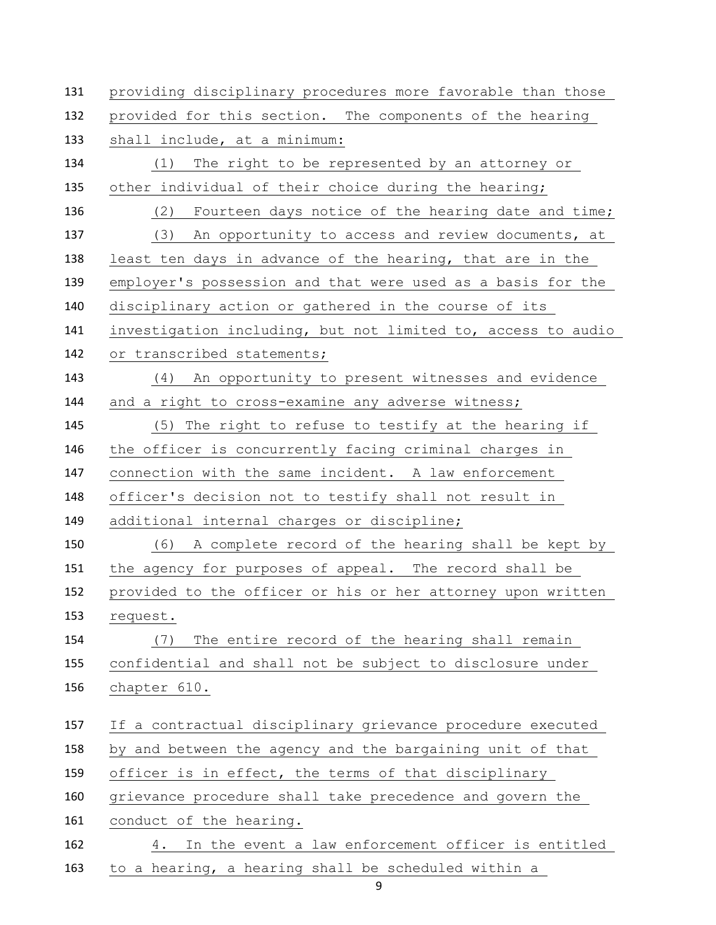providing disciplinary procedures more favorable than those provided for this section. The components of the hearing shall include, at a minimum: (1) The right to be represented by an attorney or other individual of their choice during the hearing; (2) Fourteen days notice of the hearing date and time; (3) An opportunity to access and review documents, at least ten days in advance of the hearing, that are in the employer's possession and that were used as a basis for the disciplinary action or gathered in the course of its investigation including, but not limited to, access to audio 142 or transcribed statements; (4) An opportunity to present witnesses and evidence and a right to cross-examine any adverse witness; (5) The right to refuse to testify at the hearing if the officer is concurrently facing criminal charges in connection with the same incident. A law enforcement officer's decision not to testify shall not result in additional internal charges or discipline; (6) A complete record of the hearing shall be kept by the agency for purposes of appeal. The record shall be provided to the officer or his or her attorney upon written request. (7) The entire record of the hearing shall remain confidential and shall not be subject to disclosure under chapter 610. If a contractual disciplinary grievance procedure executed by and between the agency and the bargaining unit of that officer is in effect, the terms of that disciplinary grievance procedure shall take precedence and govern the conduct of the hearing. 4. In the event a law enforcement officer is entitled to a hearing, a hearing shall be scheduled within a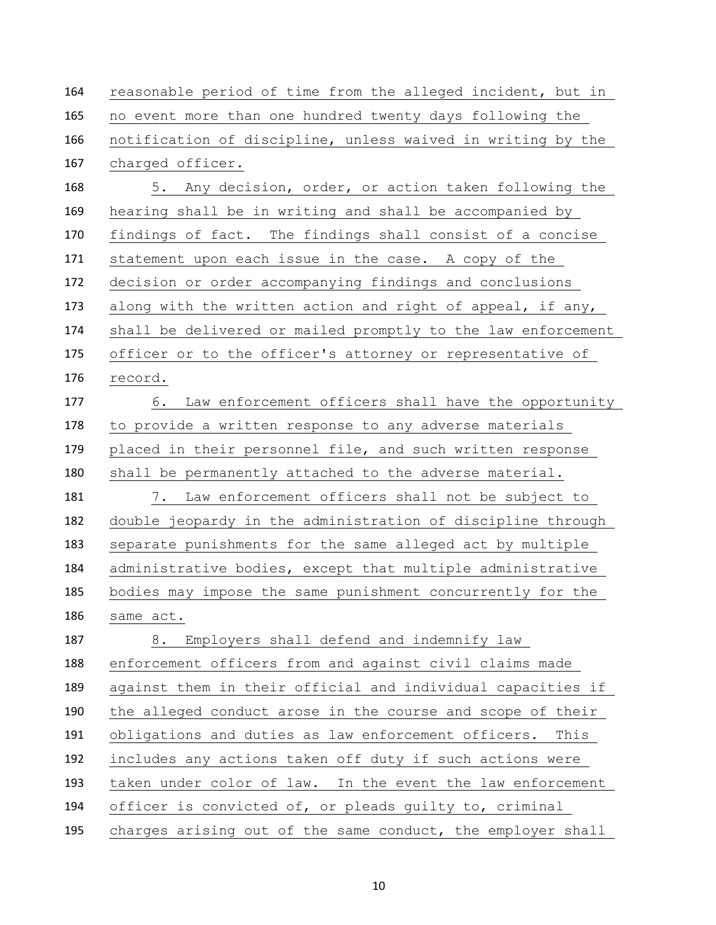| 164 | reasonable period of time from the alleged incident, but in  |
|-----|--------------------------------------------------------------|
| 165 | no event more than one hundred twenty days following the     |
| 166 | notification of discipline, unless waived in writing by the  |
| 167 | charged officer.                                             |
| 168 | 5. Any decision, order, or action taken following the        |
| 169 | hearing shall be in writing and shall be accompanied by      |
| 170 | findings of fact. The findings shall consist of a concise    |
| 171 | statement upon each issue in the case. A copy of the         |
| 172 | decision or order accompanying findings and conclusions      |
| 173 | along with the written action and right of appeal, if any,   |
| 174 | shall be delivered or mailed promptly to the law enforcement |
| 175 | officer or to the officer's attorney or representative of    |
| 176 | record.                                                      |
| 177 | 6.<br>Law enforcement officers shall have the opportunity    |
| 178 | to provide a written response to any adverse materials       |
| 179 | placed in their personnel file, and such written response    |
| 180 | shall be permanently attached to the adverse material.       |
| 181 | 7. Law enforcement officers shall not be subject to          |
| 182 | double jeopardy in the administration of discipline through  |
| 183 | separate punishments for the same alleged act by multiple    |
| 184 | administrative bodies, except that multiple administrative   |
| 185 | bodies may impose the same punishment concurrently for the   |
| 186 | same act.                                                    |
| 187 | Employers shall defend and indemnify law<br>8.               |
| 188 | enforcement officers from and against civil claims made      |
| 189 | against them in their official and individual capacities if  |
| 190 | the alleged conduct arose in the course and scope of their   |
| 191 | obligations and duties as law enforcement officers. This     |
| 192 | includes any actions taken off duty if such actions were     |
| 193 | taken under color of law. In the event the law enforcement   |
| 194 | officer is convicted of, or pleads guilty to, criminal       |
| 195 | charges arising out of the same conduct, the employer shall  |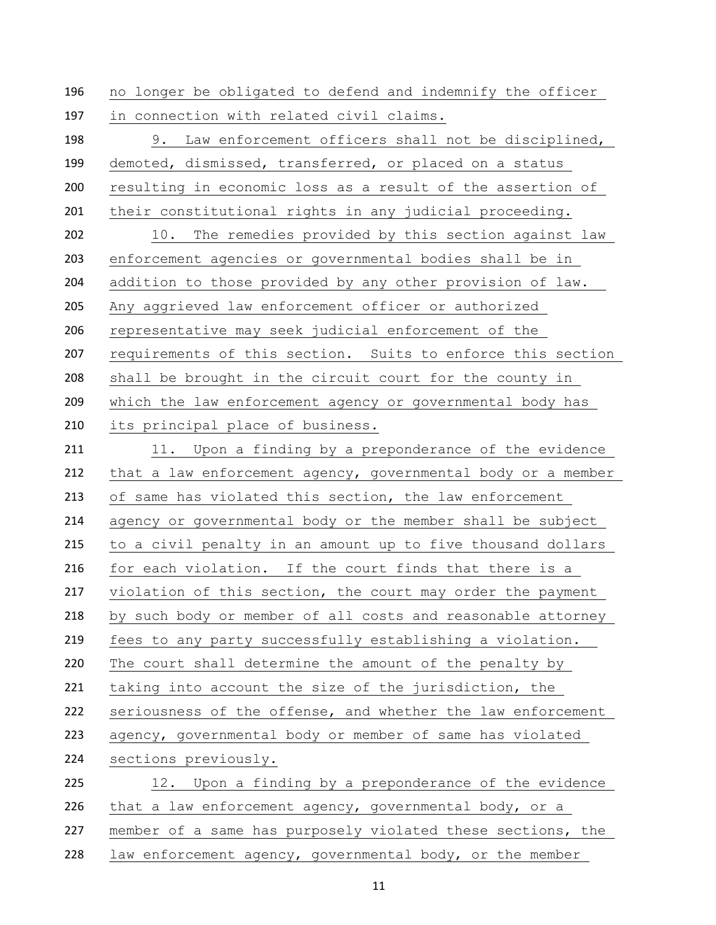no longer be obligated to defend and indemnify the officer in connection with related civil claims.

 9. Law enforcement officers shall not be disciplined, demoted, dismissed, transferred, or placed on a status resulting in economic loss as a result of the assertion of their constitutional rights in any judicial proceeding. 10. The remedies provided by this section against law enforcement agencies or governmental bodies shall be in addition to those provided by any other provision of law. Any aggrieved law enforcement officer or authorized representative may seek judicial enforcement of the requirements of this section. Suits to enforce this section shall be brought in the circuit court for the county in which the law enforcement agency or governmental body has its principal place of business. 211 11. Upon a finding by a preponderance of the evidence that a law enforcement agency, governmental body or a member of same has violated this section, the law enforcement agency or governmental body or the member shall be subject to a civil penalty in an amount up to five thousand dollars for each violation. If the court finds that there is a 217 violation of this section, the court may order the payment by such body or member of all costs and reasonable attorney fees to any party successfully establishing a violation. The court shall determine the amount of the penalty by taking into account the size of the jurisdiction, the seriousness of the offense, and whether the law enforcement agency, governmental body or member of same has violated sections previously. 12. Upon a finding by a preponderance of the evidence that a law enforcement agency, governmental body, or a member of a same has purposely violated these sections, the

law enforcement agency, governmental body, or the member